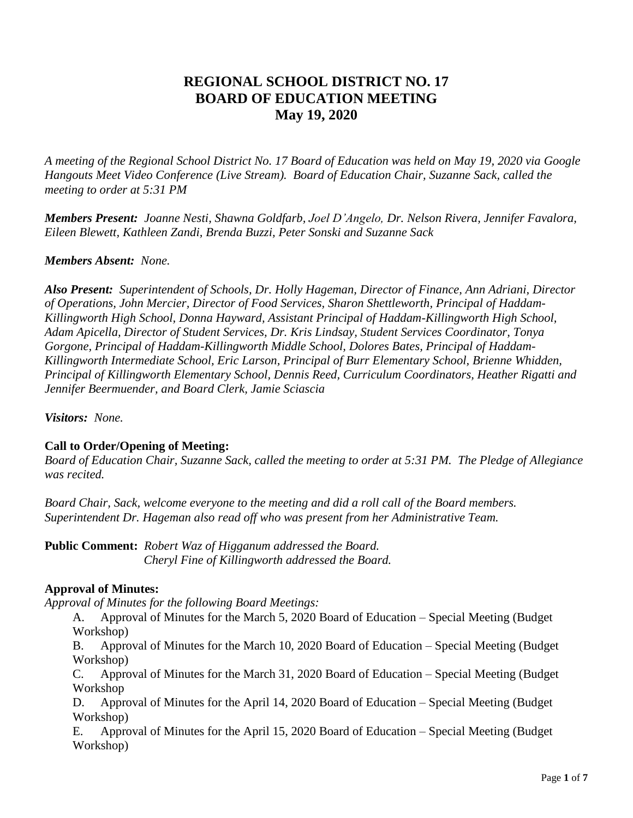# **REGIONAL SCHOOL DISTRICT NO. 17 BOARD OF EDUCATION MEETING May 19, 2020**

*A meeting of the Regional School District No. 17 Board of Education was held on May 19, 2020 via Google Hangouts Meet Video Conference (Live Stream). Board of Education Chair, Suzanne Sack, called the meeting to order at 5:31 PM*

*Members Present: Joanne Nesti, Shawna Goldfarb, Joel D'Angelo, Dr. Nelson Rivera, Jennifer Favalora, Eileen Blewett, Kathleen Zandi, Brenda Buzzi, Peter Sonski and Suzanne Sack*

#### *Members Absent: None.*

*Also Present: Superintendent of Schools, Dr. Holly Hageman, Director of Finance, Ann Adriani, Director of Operations, John Mercier, Director of Food Services, Sharon Shettleworth, Principal of Haddam-Killingworth High School, Donna Hayward, Assistant Principal of Haddam-Killingworth High School, Adam Apicella, Director of Student Services, Dr. Kris Lindsay, Student Services Coordinator, Tonya Gorgone, Principal of Haddam-Killingworth Middle School, Dolores Bates, Principal of Haddam-Killingworth Intermediate School, Eric Larson, Principal of Burr Elementary School, Brienne Whidden, Principal of Killingworth Elementary School, Dennis Reed, Curriculum Coordinators, Heather Rigatti and Jennifer Beermuender, and Board Clerk, Jamie Sciascia* 

*Visitors: None.*

#### **Call to Order/Opening of Meeting:**

*Board of Education Chair, Suzanne Sack, called the meeting to order at 5:31 PM. The Pledge of Allegiance was recited.*

*Board Chair, Sack, welcome everyone to the meeting and did a roll call of the Board members. Superintendent Dr. Hageman also read off who was present from her Administrative Team.*

**Public Comment:** *Robert Waz of Higganum addressed the Board. Cheryl Fine of Killingworth addressed the Board.*

#### **Approval of Minutes:**

*Approval of Minutes for the following Board Meetings:*

A. Approval of Minutes for the March 5, 2020 Board of Education – Special Meeting (Budget Workshop)

B. Approval of Minutes for the March 10, 2020 Board of Education – Special Meeting (Budget Workshop)

C. Approval of Minutes for the March 31, 2020 Board of Education – Special Meeting (Budget Workshop

D. Approval of Minutes for the April 14, 2020 Board of Education – Special Meeting (Budget Workshop)

E. Approval of Minutes for the April 15, 2020 Board of Education – Special Meeting (Budget Workshop)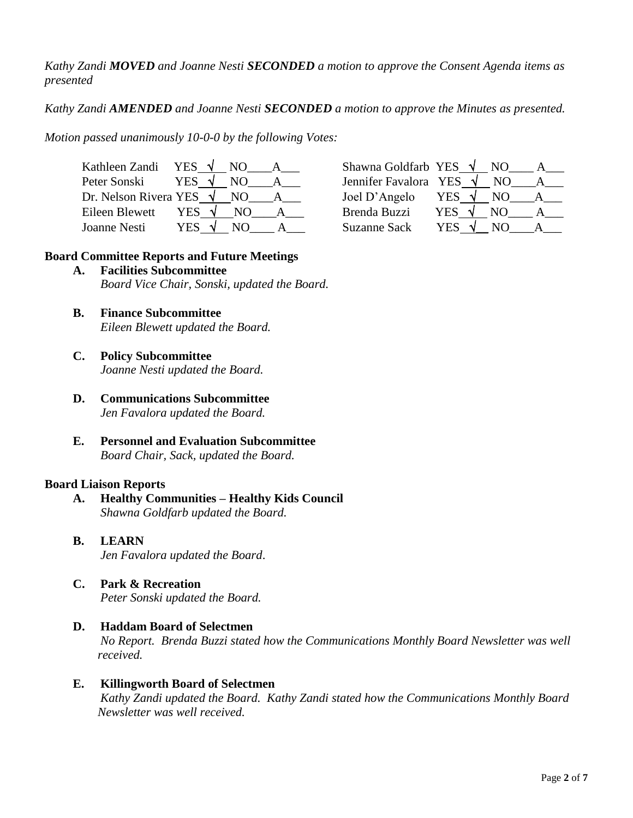*Kathy Zandi MOVED and Joanne Nesti SECONDED a motion to approve the Consent Agenda items as presented*

*Kathy Zandi AMENDED and Joanne Nesti SECONDED a motion to approve the Minutes as presented.* 

*Motion passed unanimously 10-0-0 by the following Votes:*

| Kathleen Zandi                  | YES . | NO. | Shawna Goldfarb YES   |      | NO. |  |
|---------------------------------|-------|-----|-----------------------|------|-----|--|
| Peter Sonski                    | YES . |     | Jennifer Favalora YES |      | NΟ  |  |
| Dr. Nelson Rivera YES $\sqrt{}$ |       | NO. | Joel D'Angelo         | YES. | N() |  |
| Eileen Blewett                  | YES   | N() | Brenda Buzzi          | YES  | NO) |  |
| Joanne Nesti                    | YES   | NO) | <b>Suzanne Sack</b>   | YES. | NO  |  |

| Kathleen Zandi YES $\sqrt{N}$ NO        | Shawna Goldfarb YES $\sqrt{N}$ NO                      |  |
|-----------------------------------------|--------------------------------------------------------|--|
| YES $\sqrt{ }$<br>Peter Sonski<br>NO.   | Jennifer Favalora YES $\sqrt{}$<br>NO.<br>$\mathbf{A}$ |  |
| Dr. Nelson Rivera YES $\sqrt{N}$ NO A   | Joel D'Angelo<br>YES $\sqrt{ }$<br>NO                  |  |
| Eileen Blewett<br>YES $\sqrt{ }$<br>NO. | YES $\sqrt{ }$<br>Brenda Buzzi<br>NO.<br>$A \quad$     |  |
| YES V<br>Joanne Nesti<br>NO.            | <b>Suzanne Sack</b><br>YES V<br>NO.                    |  |

#### **Board Committee Reports and Future Meetings**

- **A. Facilities Subcommittee** *Board Vice Chair, Sonski, updated the Board.*
- **B. Finance Subcommittee** *Eileen Blewett updated the Board.*
- **C. Policy Subcommittee** *Joanne Nesti updated the Board.*
- **D. Communications Subcommittee** *Jen Favalora updated the Board.*
- **E. Personnel and Evaluation Subcommittee**  *Board Chair, Sack, updated the Board.*

#### **Board Liaison Reports**

- **A. Healthy Communities – Healthy Kids Council** *Shawna Goldfarb updated the Board.*
- **B. LEARN**  *Jen Favalora updated the Board*.
- **C. Park & Recreation** *Peter Sonski updated the Board.*
- **D. Haddam Board of Selectmen** *No Report. Brenda Buzzi stated how the Communications Monthly Board Newsletter was well received.*
- **E. Killingworth Board of Selectmen** *Kathy Zandi updated the Board. Kathy Zandi stated how the Communications Monthly Board Newsletter was well received.*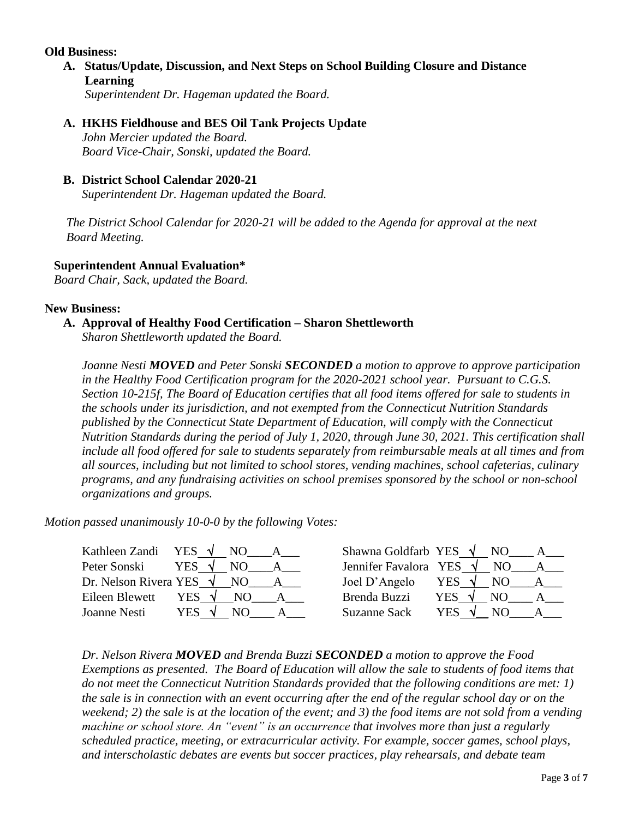#### **Old Business:**

- **A. Status/Update, Discussion, and Next Steps on School Building Closure and Distance Learning** *Superintendent Dr. Hageman updated the Board.*
- **A. HKHS Fieldhouse and BES Oil Tank Projects Update**

*John Mercier updated the Board. Board Vice-Chair, Sonski, updated the Board.*

# **B. District School Calendar 2020-21**

*Superintendent Dr. Hageman updated the Board.*

 *The District School Calendar for 2020-21 will be added to the Agenda for approval at the next Board Meeting.* 

# **Superintendent Annual Evaluation\***

*Board Chair, Sack, updated the Board.*

#### **New Business:**

# **A. Approval of Healthy Food Certification – Sharon Shettleworth**

*Sharon Shettleworth updated the Board.*

*Joanne Nesti MOVED and Peter Sonski SECONDED a motion to approve to approve participation in the Healthy Food Certification program for the 2020-2021 school year. Pursuant to C.G.S. Section 10-215f, The Board of Education certifies that all food items offered for sale to students in the schools under its jurisdiction, and not exempted from the Connecticut Nutrition Standards published by the Connecticut State Department of Education, will comply with the Connecticut Nutrition Standards during the period of July 1, 2020, through June 30, 2021. This certification shall include all food offered for sale to students separately from reimbursable meals at all times and from all sources, including but not limited to school stores, vending machines, school cafeterias, culinary programs, and any fundraising activities on school premises sponsored by the school or non-school organizations and groups.* 

*Motion passed unanimously 10-0-0 by the following Votes:*

|                | Kathleen Zandi YES $\sqrt{}$ NO A    | Shawna Goldfarb YES $\sqrt{}$ NO A   |                 |     |              |
|----------------|--------------------------------------|--------------------------------------|-----------------|-----|--------------|
| Peter Sonski   | YES $\sqrt{NO}$ A                    | Jennifer Favalora YES $\sqrt{}$ NO A |                 |     |              |
|                | Dr. Nelson Rivera YES $\sqrt{}$ NO A | Joel D'Angelo YES $\sqrt{NO}$ A      |                 |     |              |
| Eileen Blewett | YES $\sqrt{ }$<br>NO.                | Brenda Buzzi                         | YES $\sqrt{ }$  | NO. | $\mathsf{A}$ |
| Joanne Nesti   | YES $\sqrt{ }$<br>N <sub>O</sub>     | <b>Suzanne Sack</b>                  | YES $\sqrt{NO}$ | A   |              |

*Dr. Nelson Rivera MOVED and Brenda Buzzi SECONDED a motion to approve the Food Exemptions as presented. The Board of Education will allow the sale to students of food items that do not meet the Connecticut Nutrition Standards provided that the following conditions are met: 1) the sale is in connection with an event occurring after the end of the regular school day or on the weekend; 2) the sale is at the location of the event; and 3) the food items are not sold from a vending machine or school store. An "event" is an occurrence that involves more than just a regularly scheduled practice, meeting, or extracurricular activity. For example, soccer games, school plays, and interscholastic debates are events but soccer practices, play rehearsals, and debate team*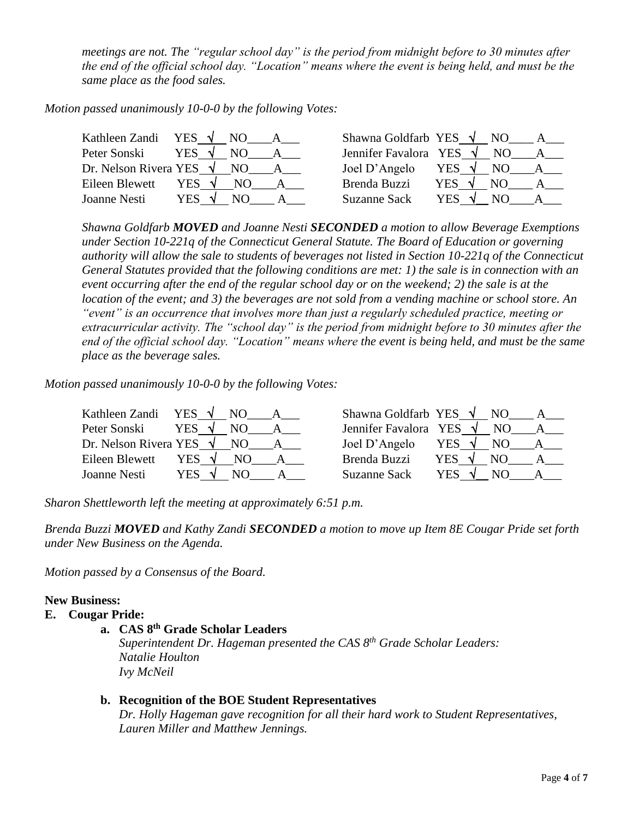*meetings are not. The "regular school day" is the period from midnight before to 30 minutes after the end of the official school day. "Location" means where the event is being held, and must be the same place as the food sales.* 

*Motion passed unanimously 10-0-0 by the following Votes:*

| Kathleen Zandi YES $\sqrt{}$    |                | NO<br>A | Shawna Goldfarb YES $\sqrt{}$ NO |                 |      |   |
|---------------------------------|----------------|---------|----------------------------------|-----------------|------|---|
| Peter Sonski                    | YES $\sqrt{ }$ | NO –    | Jennifer Favalora YES $\sqrt{}$  |                 | NO.  |   |
| Dr. Nelson Rivera YES $\sqrt{}$ |                | NO.     | Joel D'Angelo                    | YES $\sqrt{NQ}$ |      | A |
| Eileen Blewett                  | YES $\sqrt{ }$ | NO.     | Brenda Buzzi                     | YES V           | NO.  |   |
| Joanne Nesti                    | YES V          | NO.     | <b>Suzanne Sack</b>              | YES V           | - NO |   |

*Shawna Goldfarb MOVED and Joanne Nesti SECONDED a motion to allow Beverage Exemptions under Section 10-221q of the Connecticut General Statute. The Board of Education or governing authority will allow the sale to students of beverages not listed in Section 10-221q of the Connecticut General Statutes provided that the following conditions are met: 1) the sale is in connection with an event occurring after the end of the regular school day or on the weekend; 2) the sale is at the location of the event; and 3) the beverages are not sold from a vending machine or school store. An "event" is an occurrence that involves more than just a regularly scheduled practice, meeting or extracurricular activity. The "school day" is the period from midnight before to 30 minutes after the end of the official school day. "Location" means where the event is being held, and must be the same place as the beverage sales.*

*Motion passed unanimously 10-0-0 by the following Votes:*

| Kathleen Zandi                  | YES $\sqrt{NQ}$       | Shawna Goldfarb YES $\sqrt{N}$ NO |                |     |  |
|---------------------------------|-----------------------|-----------------------------------|----------------|-----|--|
| Peter Sonski                    | YES $\sqrt{ }$<br>NO. | Jennifer Favalora YES $\sqrt{}$   |                | NO. |  |
| Dr. Nelson Rivera YES $\sqrt{}$ | NO                    | Joel D'Angelo                     | YES $\sqrt{}$  | NO. |  |
| Eileen Blewett                  | YES V<br>NO.          | Brenda Buzzi                      | YES $\sqrt{ }$ | NO. |  |
| Joanne Nesti                    | YES √                 | <b>Suzanne Sack</b>               | <b>YES</b>     |     |  |

*Sharon Shettleworth left the meeting at approximately 6:51 p.m.*

*Brenda Buzzi MOVED and Kathy Zandi SECONDED a motion to move up Item 8E Cougar Pride set forth under New Business on the Agenda.* 

*Motion passed by a Consensus of the Board.*

#### **New Business:**

#### **E. Cougar Pride:**

**a. CAS 8th Grade Scholar Leaders**

*Superintendent Dr. Hageman presented the CAS 8th Grade Scholar Leaders: Natalie Houlton Ivy McNeil*

#### **b. Recognition of the BOE Student Representatives**

*Dr. Holly Hageman gave recognition for all their hard work to Student Representatives, Lauren Miller and Matthew Jennings.*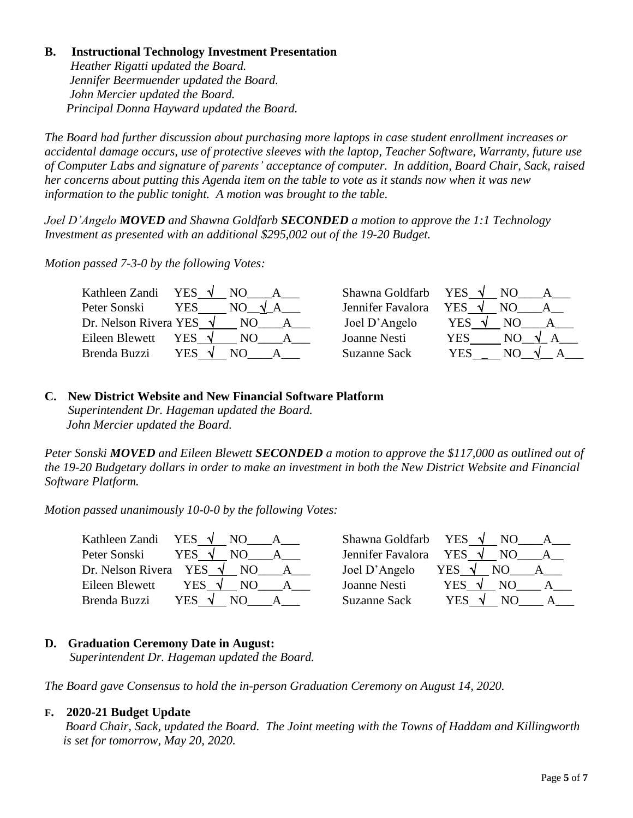# **B. Instructional Technology Investment Presentation**

*Heather Rigatti updated the Board. Jennifer Beermuender updated the Board. John Mercier updated the Board. Principal Donna Hayward updated the Board.*

*The Board had further discussion about purchasing more laptops in case student enrollment increases or accidental damage occurs, use of protective sleeves with the laptop, Teacher Software, Warranty, future use of Computer Labs and signature of parents' acceptance of computer. In addition, Board Chair, Sack, raised her concerns about putting this Agenda item on the table to vote as it stands now when it was new information to the public tonight. A motion was brought to the table.*

*Joel D'Angelo MOVED and Shawna Goldfarb SECONDED a motion to approve the 1:1 Technology Investment as presented with an additional \$295,002 out of the 19-20 Budget.*

*Motion passed 7-3-0 by the following Votes:*

| Kathleen Zandi                  | YES $\sqrt{ }$<br>NO. | Shawna Goldfarb   | YES $\sqrt{ }$ |
|---------------------------------|-----------------------|-------------------|----------------|
| Peter Sonski                    | YES<br>NO.            | Jennifer Favalora | YES            |
| Dr. Nelson Rivera YES $\sqrt{}$ | NO.                   | Joel D'Angelo     | YES<br>NΟ      |
| Eileen Blewett                  | YES                   | Joanne Nesti      | YES<br>NO.     |
| Brenda Buzzi                    | YES                   | Suzanne Sack      | <b>YES</b>     |

# **C. New District Website and New Financial Software Platform**

 *Superintendent Dr. Hageman updated the Board. John Mercier updated the Board.*

*Peter Sonski MOVED and Eileen Blewett SECONDED a motion to approve the \$117,000 as outlined out of the 19-20 Budgetary dollars in order to make an investment in both the New District Website and Financial Software Platform.*

*Motion passed unanimously 10-0-0 by the following Votes:*

| YES $\sqrt{ }$<br>Kathleen Zandi<br>NO  | YES $\sqrt{ }$<br>Shawna Goldfarb |
|-----------------------------------------|-----------------------------------|
| Peter Sonski                            | YES $\sqrt{ }$                    |
| YES √                                   | Jennifer Favalora                 |
| NO.                                     | NO.                               |
| Dr. Nelson Rivera YES $\sqrt{}$         | Joel D'Angelo                     |
| NO.                                     | <b>YES</b>                        |
| Eileen Blewett<br>YES $\sqrt{ }$<br>NO. | Joanne Nesti<br>YES.              |
| Brenda Buzzi                            | <b>Suzanne Sack</b>               |
| <b>YES</b>                              | YES                               |

# **D. Graduation Ceremony Date in August:**

 *Superintendent Dr. Hageman updated the Board.*

*The Board gave Consensus to hold the in-person Graduation Ceremony on August 14, 2020.*

# **F. 2020-21 Budget Update**

*Board Chair, Sack, updated the Board. The Joint meeting with the Towns of Haddam and Killingworth is set for tomorrow, May 20, 2020.*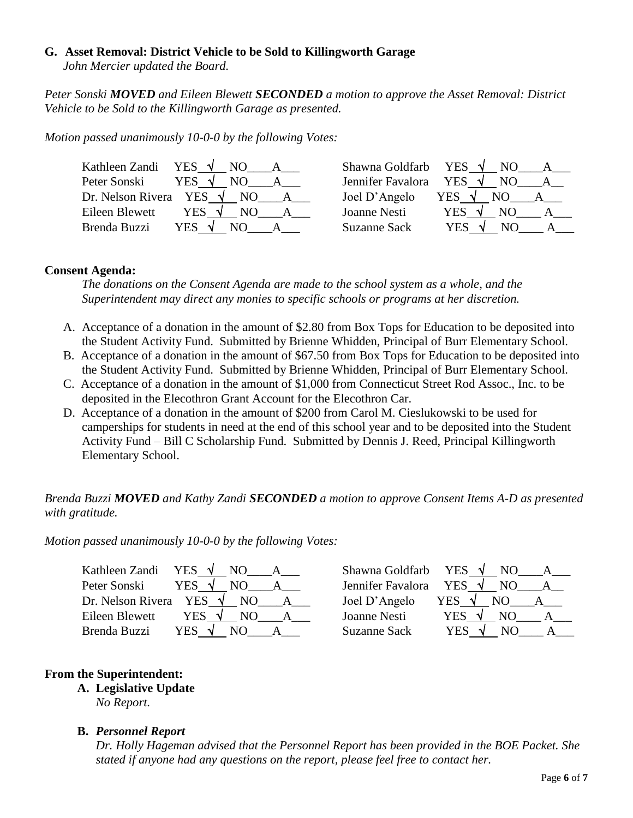# **G. Asset Removal: District Vehicle to be Sold to Killingworth Garage**

 *John Mercier updated the Board.*

*Peter Sonski MOVED and Eileen Blewett SECONDED a motion to approve the Asset Removal: District Vehicle to be Sold to the Killingworth Garage as presented.*

*Motion passed unanimously 10-0-0 by the following Votes:*

| YES $\sqrt{ }$<br>Kathleen Zandi<br>NO | Shawna Goldfarb     | YES $\sqrt{ }$<br>NO.           |
|----------------------------------------|---------------------|---------------------------------|
| Peter Sonski<br>YES $\sqrt{ }$<br>NO.  | Jennifer Favalora   | <b>YES</b><br>NO.<br>$\sqrt{ }$ |
| Dr. Nelson Rivera YES $\sqrt{}$<br>NO. | Joel D'Angelo       | YES<br>NO.                      |
| Eileen Blewett<br>YES $\sqrt{ }$<br>NΩ | Joanne Nesti        | YES.<br>NO.                     |
| Brenda Buzzi<br>YES.                   | <b>Suzanne Sack</b> | YES                             |

#### **Consent Agenda:**

*The donations on the Consent Agenda are made to the school system as a whole, and the Superintendent may direct any monies to specific schools or programs at her discretion.*

- A. Acceptance of a donation in the amount of \$2.80 from Box Tops for Education to be deposited into the Student Activity Fund. Submitted by Brienne Whidden, Principal of Burr Elementary School.
- B. Acceptance of a donation in the amount of \$67.50 from Box Tops for Education to be deposited into the Student Activity Fund. Submitted by Brienne Whidden, Principal of Burr Elementary School.
- C. Acceptance of a donation in the amount of \$1,000 from Connecticut Street Rod Assoc., Inc. to be deposited in the Elecothron Grant Account for the Elecothron Car.
- D. Acceptance of a donation in the amount of \$200 from Carol M. Cieslukowski to be used for camperships for students in need at the end of this school year and to be deposited into the Student Activity Fund – Bill C Scholarship Fund. Submitted by Dennis J. Reed, Principal Killingworth Elementary School.

# *Brenda Buzzi MOVED and Kathy Zandi SECONDED a motion to approve Consent Items A-D as presented with gratitude.*

*Motion passed unanimously 10-0-0 by the following Votes:*

| YES $\sqrt{ }$<br>Kathleen Zandi<br>NO. | YES $\sqrt{ }$<br>Shawna Goldfarb |  |
|-----------------------------------------|-----------------------------------|--|
| Peter Sonski<br>YES                     | Jennifer Favalora<br>YES V<br>NO  |  |
| Dr. Nelson Rivera<br>YES<br>NO.         | Joel D'Angelo<br>YES              |  |
| Eileen Blewett<br>YES.<br>N()           | Joanne Nesti<br>YES               |  |
| Brenda Buzzi<br><b>YES</b>              | <b>Suzanne Sack</b><br>YES        |  |

# **From the Superintendent:**

**A. Legislative Update** *No Report.*

# **B.** *Personnel Report*

*Dr. Holly Hageman advised that the Personnel Report has been provided in the BOE Packet. She stated if anyone had any questions on the report, please feel free to contact her.*